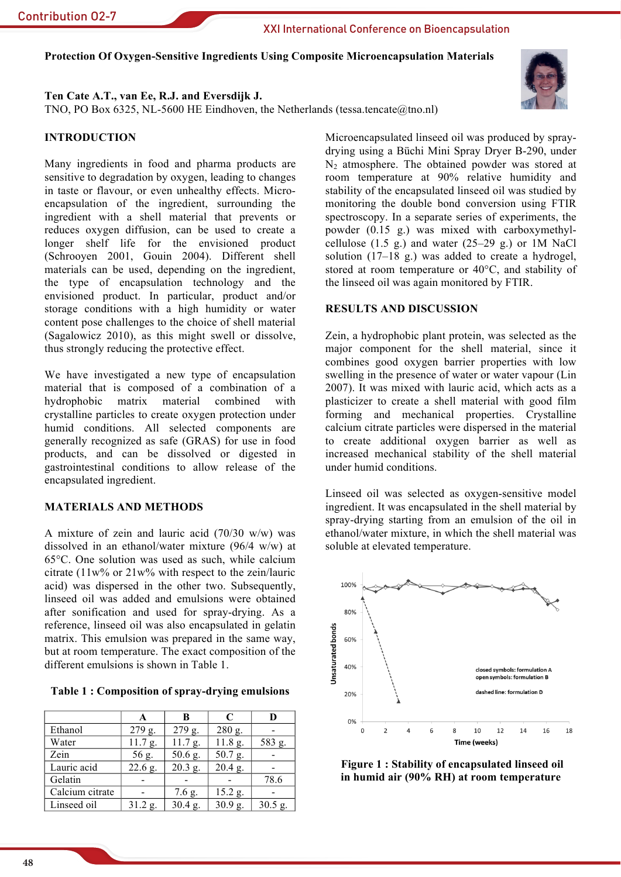Protection Of Oxygen-Sensitive Ingredients Using Composite Microencapsulation Materials

# Ten Cate A.T., van Ee, R.J. and Eversdijk J.

TNO, PO Box 6325, NL-5600 HE Eindhoven, the Netherlands (tessa.tencate@tno.nl)

# **INTRODUCTION**

Many ingredients in food and pharma products are sensitive to degradation by oxygen, leading to changes in taste or flavour, or even unhealthy effects. Microencapsulation of the ingredient, surrounding the ingredient with a shell material that prevents or reduces oxygen diffusion, can be used to create a longer shelf life for the envisioned product (Schrooyen 2001, Gouin 2004). Different shell materials can be used, depending on the ingredient, the type of encapsulation technology and the envisioned product. In particular, product and/or storage conditions with a high humidity or water content pose challenges to the choice of shell material (Sagalowicz 2010), as this might swell or dissolve, thus strongly reducing the protective effect.

We have investigated a new type of encapsulation material that is composed of a combination of a hydrophobic matrix material combined with crystalline particles to create oxygen protection under humid conditions. All selected components are generally recognized as safe (GRAS) for use in food products, and can be dissolved or digested in gastrointestinal conditions to allow release of the encapsulated ingredient.

# **MATERIALS AND METHODS**

A mixture of zein and lauric acid  $(70/30 \text{ w/w})$  was dissolved in an ethanol/water mixture  $(96/4 \text{ w/w})$  at 65°C. One solution was used as such, while calcium citrate  $(11w\%$  or  $21w\%$  with respect to the zein/lauric acid) was dispersed in the other two. Subsequently, linseed oil was added and emulsions were obtained after sonification and used for spray-drying. As a reference, linseed oil was also encapsulated in gelatin matrix. This emulsion was prepared in the same way, but at room temperature. The exact composition of the different emulsions is shown in Table 1.

Table 1: Composition of spray-drying emulsions

|                 | А         | в         | C         | D         |
|-----------------|-----------|-----------|-----------|-----------|
| Ethanol         | $279$ g.  | 279 g.    | 280 g.    |           |
| Water           | 11.7 g.   | 11.7 g.   | 11.8 g.   | 583 g.    |
| Zein            | 56 g.     | 50.6 g.   | 50.7 g.   |           |
| Lauric acid     | $22.6$ g. | $20.3$ g. | $20.4$ g. |           |
| Gelatin         |           |           |           | 78.6      |
| Calcium citrate |           | $7.6$ g.  | $15.2$ g. |           |
| Linseed oil     | $31.2$ g. | $30.4$ g. | 30.9 g.   | $30.5$ g. |

Microencapsulated linseed oil was produced by spraydrying using a Büchi Mini Spray Dryer B-290, under  $N_2$  atmosphere. The obtained powder was stored at room temperature at 90% relative humidity and stability of the encapsulated linseed oil was studied by monitoring the double bond conversion using FTIR spectroscopy. In a separate series of experiments, the powder (0.15 g.) was mixed with carboxymethylcellulose  $(1.5 \text{ g.})$  and water  $(25-29 \text{ g.})$  or 1M NaCl solution  $(17-18 \text{ g.})$  was added to create a hydrogel, stored at room temperature or 40°C, and stability of the linseed oil was again monitored by FTIR.

## **RESULTS AND DISCUSSION**

Zein, a hydrophobic plant protein, was selected as the major component for the shell material, since it combines good oxygen barrier properties with low swelling in the presence of water or water vapour (Lin 2007). It was mixed with lauric acid, which acts as a plasticizer to create a shell material with good film forming and mechanical properties. Crystalline calcium citrate particles were dispersed in the material to create additional oxygen barrier as well as increased mechanical stability of the shell material under humid conditions.

Linseed oil was selected as oxygen-sensitive model ingredient. It was encapsulated in the shell material by spray-drying starting from an emulsion of the oil in ethanol/water mixture, in which the shell material was soluble at elevated temperature.



Figure 1: Stability of encapsulated linseed oil in humid air (90% RH) at room temperature